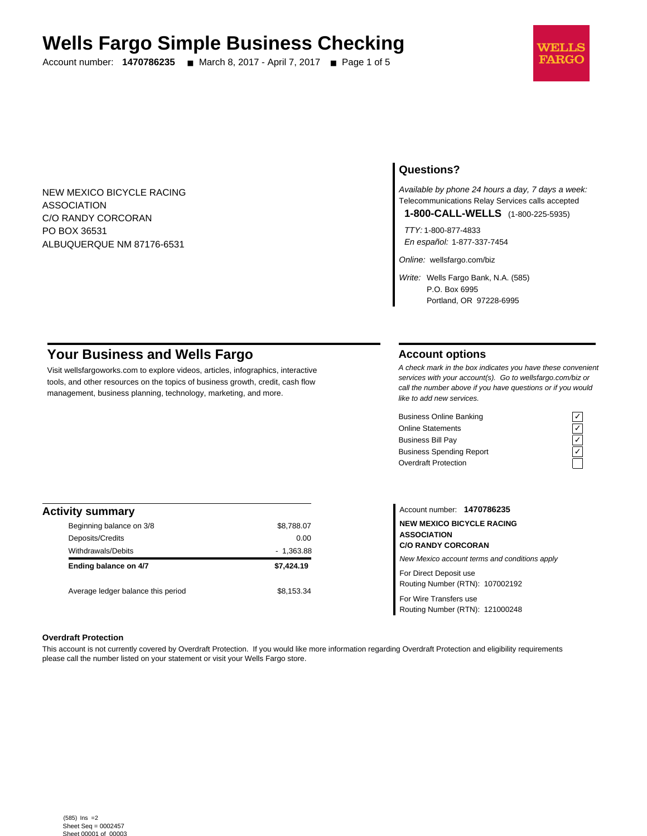# **Wells Fargo Simple Business Checking**

Account number: **1470786235** ■ March 8, 2017 - April 7, 2017 ■ Page 1 of 5



NEW MEXICO BICYCLE RACING ASSOCIATION C/O RANDY CORCORAN PO BOX 36531 ALBUQUERQUE NM 87176-6531

## **Questions?**

Available by phone 24 hours a day, 7 days a week: Telecommunications Relay Services calls accepted

**1-800-CALL-WELLS** (1-800-225-5935)

TTY: 1-800-877-4833 En español: 1-877-337-7454

Online: wellsfargo.com/biz

Write: Wells Fargo Bank, N.A. (585) P.O. Box 6995 Portland, OR 97228-6995

# **Your Business and Wells Fargo**

Visit wellsfargoworks.com to explore videos, articles, infographics, interactive tools, and other resources on the topics of business growth, credit, cash flow management, business planning, technology, marketing, and more.

## **Account options**

A check mark in the box indicates you have these convenient services with your account(s). Go to wellsfargo.com/biz or call the number above if you have questions or if you would like to add new services.

Business Online Banking<br>
Online Statements<br>
Business Bill Pay<br>
Business Spending Report<br>  $\overline{C}$ <br>
Overdraft Protection Online Statements ✓ Business Bill Pay Business Spending Report Overdraft Protection



| <b>Activity summary</b>            |             |
|------------------------------------|-------------|
| Beginning balance on 3/8           | \$8,788.07  |
| Deposits/Credits                   | 0.00        |
| Withdrawals/Debits                 | $-1,363.88$ |
| Ending balance on 4/7              | \$7.424.19  |
| Average ledger balance this period | \$8.153.34  |

Account number: **1470786235 NEW MEXICO BICYCLE RACING ASSOCIATION C/O RANDY CORCORAN** New Mexico account terms and conditions apply For Direct Deposit use Routing Number (RTN): 107002192

Routing Number (RTN): 121000248

For Wire Transfers use

**Overdraft Protection**

This account is not currently covered by Overdraft Protection. If you would like more information regarding Overdraft Protection and eligibility requirements please call the number listed on your statement or visit your Wells Fargo store.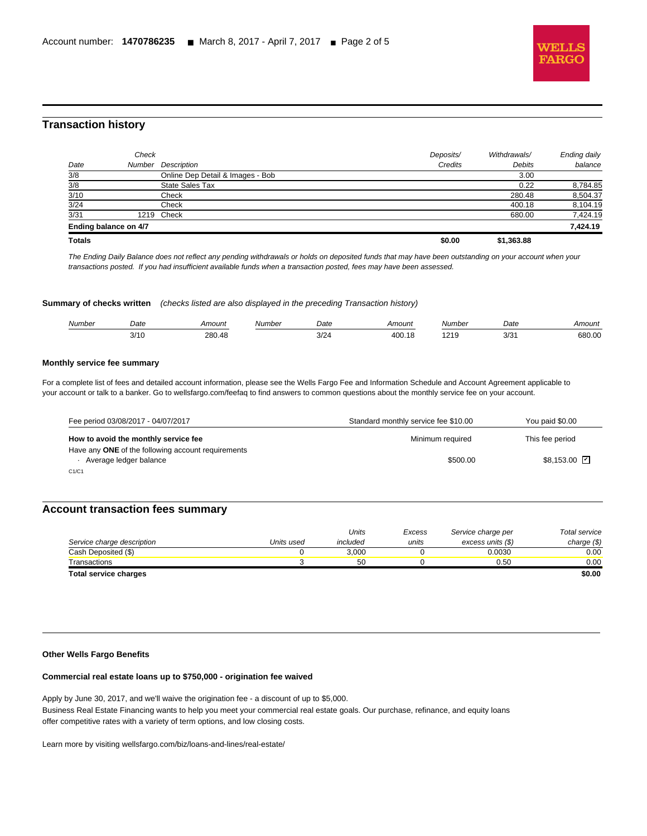

## **Transaction history**

l

| <b>Totals</b> |                       |                                  | \$0.00    | \$1,363.88   |                     |
|---------------|-----------------------|----------------------------------|-----------|--------------|---------------------|
|               | Ending balance on 4/7 |                                  |           |              | 7,424.19            |
| 3/31          | 1219                  | Check                            |           | 680.00       | 7,424.19            |
| 3/24          |                       | Check                            |           | 400.18       | 8,104.19            |
| 3/10          |                       | Check                            |           | 280.48       | 8,504.37            |
| 3/8           |                       | State Sales Tax                  |           | 0.22         | 8,784.85            |
| 3/8           |                       | Online Dep Detail & Images - Bob |           | 3.00         |                     |
| Date          |                       | Number Description               | Credits   | Debits       | balance             |
|               | Check                 |                                  | Deposits/ | Withdrawals/ | <b>Ending daily</b> |

The Ending Daily Balance does not reflect any pending withdrawals or holds on deposited funds that may have been outstanding on your account when your transactions posted. If you had insufficient available funds when a transaction posted, fees may have been assessed.

**Summary of checks written** (checks listed are also displayed in the preceding Transaction history)

| Number | Date          | Amount      | Jumbei | Date         | <sup>1</sup> mouni | . Jumber      | Date                  | Amount |
|--------|---------------|-------------|--------|--------------|--------------------|---------------|-----------------------|--------|
|        | 2140<br>טו וכ | 280.48<br>. |        | $\sim$<br>ᇬᅀ | 400.<br>.          | 240<br>$\sim$ | $\sim$<br><b>JJJI</b> | 680.00 |

#### **Monthly service fee summary**

For a complete list of fees and detailed account information, please see the Wells Fargo Fee and Information Schedule and Account Agreement applicable to your account or talk to a banker. Go to wellsfargo.com/feefaq to find answers to common questions about the monthly service fee on your account.

| Fee period 03/08/2017 - 04/07/2017                                           | Standard monthly service fee \$10.00 | You paid \$0.00 |
|------------------------------------------------------------------------------|--------------------------------------|-----------------|
| How to avoid the monthly service fee                                         | Minimum required                     | This fee period |
| Have any ONE of the following account requirements<br>Average ledger balance | \$500.00                             | \$8,153.00 2    |
| C1/C1                                                                        |                                      |                 |

## **Account transaction fees summary**

|                            |            | Units    | Excess | Service charge per | Total service |
|----------------------------|------------|----------|--------|--------------------|---------------|
| Service charge description | Units used | included | units  | excess units (\$)  | charge $(\$)$ |
| Cash Deposited (\$)        |            | 3.000    |        | 0.0030             | 0.00          |
| Transactions               |            | 50       |        | 0.50               | 0.00          |
| Total service charges      |            |          |        |                    | \$0.00        |

#### **Other Wells Fargo Benefits**

#### **Commercial real estate loans up to \$750,000 - origination fee waived**

Apply by June 30, 2017, and we'll waive the origination fee - a discount of up to \$5,000. Business Real Estate Financing wants to help you meet your commercial real estate goals. Our purchase, refinance, and equity loans offer competitive rates with a variety of term options, and low closing costs.

Learn more by visiting wellsfargo.com/biz/loans-and-lines/real-estate/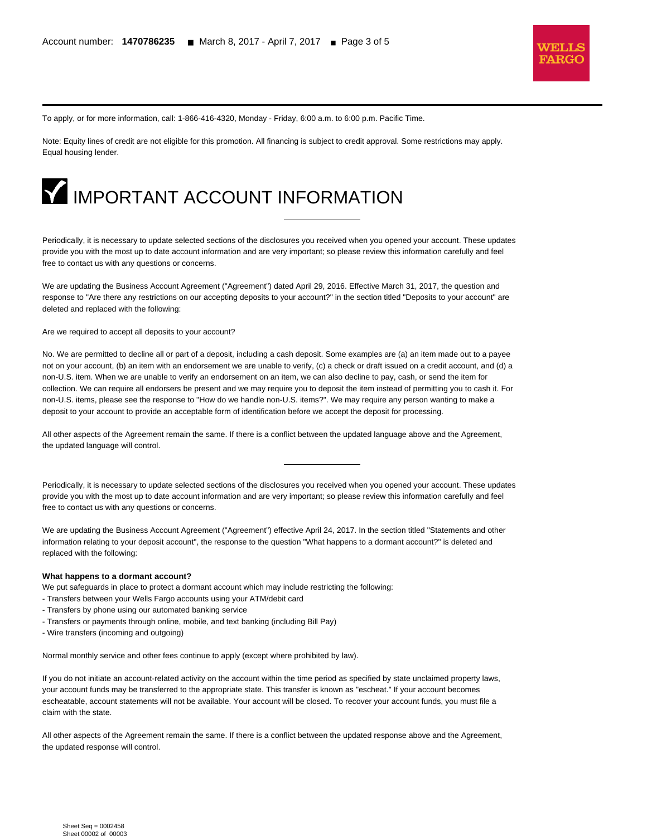

To apply, or for more information, call: 1-866-416-4320, Monday - Friday, 6:00 a.m. to 6:00 p.m. Pacific Time.

Note: Equity lines of credit are not eligible for this promotion. All financing is subject to credit approval. Some restrictions may apply. Equal housing lender.



Periodically, it is necessary to update selected sections of the disclosures you received when you opened your account. These updates provide you with the most up to date account information and are very important; so please review this information carefully and feel free to contact us with any questions or concerns.

We are updating the Business Account Agreement ("Agreement") dated April 29, 2016. Effective March 31, 2017, the question and response to "Are there any restrictions on our accepting deposits to your account?" in the section titled "Deposits to your account" are deleted and replaced with the following:

Are we required to accept all deposits to your account?

l

No. We are permitted to decline all or part of a deposit, including a cash deposit. Some examples are (a) an item made out to a payee not on your account, (b) an item with an endorsement we are unable to verify, (c) a check or draft issued on a credit account, and (d) a non-U.S. item. When we are unable to verify an endorsement on an item, we can also decline to pay, cash, or send the item for collection. We can require all endorsers be present and we may require you to deposit the item instead of permitting you to cash it. For non-U.S. items, please see the response to "How do we handle non-U.S. items?". We may require any person wanting to make a deposit to your account to provide an acceptable form of identification before we accept the deposit for processing.

All other aspects of the Agreement remain the same. If there is a conflict between the updated language above and the Agreement, the updated language will control.

Periodically, it is necessary to update selected sections of the disclosures you received when you opened your account. These updates provide you with the most up to date account information and are very important; so please review this information carefully and feel free to contact us with any questions or concerns.

We are updating the Business Account Agreement ("Agreement") effective April 24, 2017. In the section titled "Statements and other information relating to your deposit account", the response to the question "What happens to a dormant account?" is deleted and replaced with the following:

#### **What happens to a dormant account?**

We put safeguards in place to protect a dormant account which may include restricting the following:

- Transfers between your Wells Fargo accounts using your ATM/debit card
- Transfers by phone using our automated banking service
- Transfers or payments through online, mobile, and text banking (including Bill Pay)
- Wire transfers (incoming and outgoing)

Normal monthly service and other fees continue to apply (except where prohibited by law).

If you do not initiate an account-related activity on the account within the time period as specified by state unclaimed property laws, your account funds may be transferred to the appropriate state. This transfer is known as "escheat." If your account becomes escheatable, account statements will not be available. Your account will be closed. To recover your account funds, you must file a claim with the state.

All other aspects of the Agreement remain the same. If there is a conflict between the updated response above and the Agreement, the updated response will control.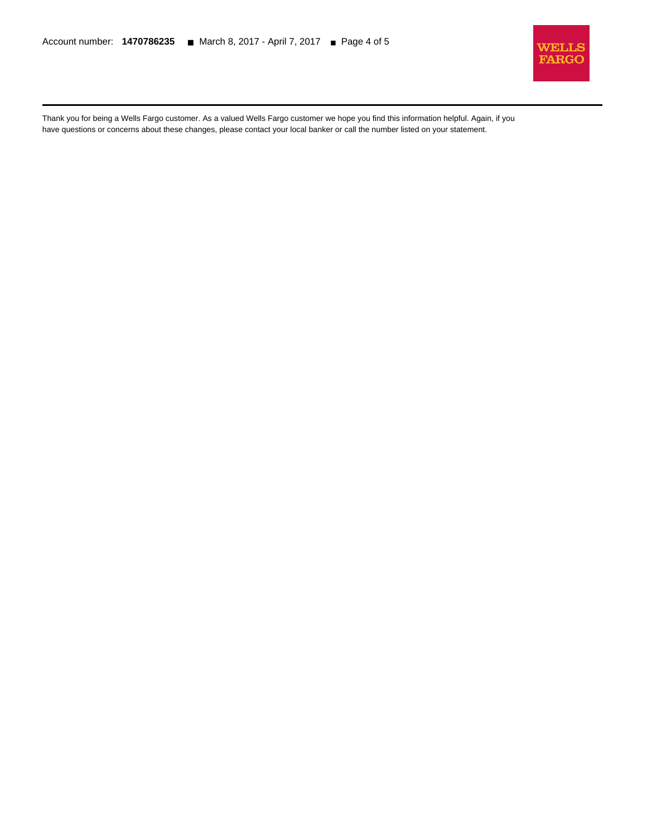l



Thank you for being a Wells Fargo customer. As a valued Wells Fargo customer we hope you find this information helpful. Again, if you have questions or concerns about these changes, please contact your local banker or call the number listed on your statement.